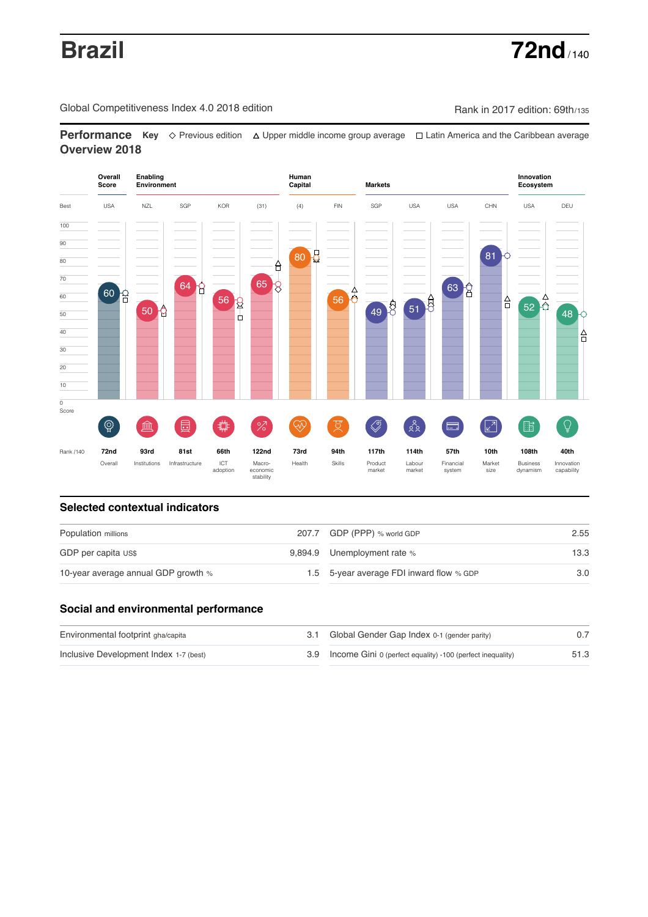Global Competitiveness Index 4.0 2018 edition Company Rank in 2017 edition: 69th/135

**Performance** Key ◇ Previous edition △ Upper middle income group average □ Latin America and the Caribbean average **Overview 2018**



# **Selected contextual indicators**

| Population millions                 | 207.7 GDP (PPP) % world GDP              | 2.55 |  |
|-------------------------------------|------------------------------------------|------|--|
| GDP per capita US\$                 | 9,894.9 Unemployment rate %              | 13.3 |  |
| 10-year average annual GDP growth % | 1.5 5-year average FDI inward flow % GDP | 3.0  |  |

# **Social and environmental performance**

| Environmental footprint gha/capita     | 3.1 Global Gender Gap Index 0-1 (gender parity)                |      |
|----------------------------------------|----------------------------------------------------------------|------|
| Inclusive Development Index 1-7 (best) | 3.9 Income Gini 0 (perfect equality) -100 (perfect inequality) | 51.3 |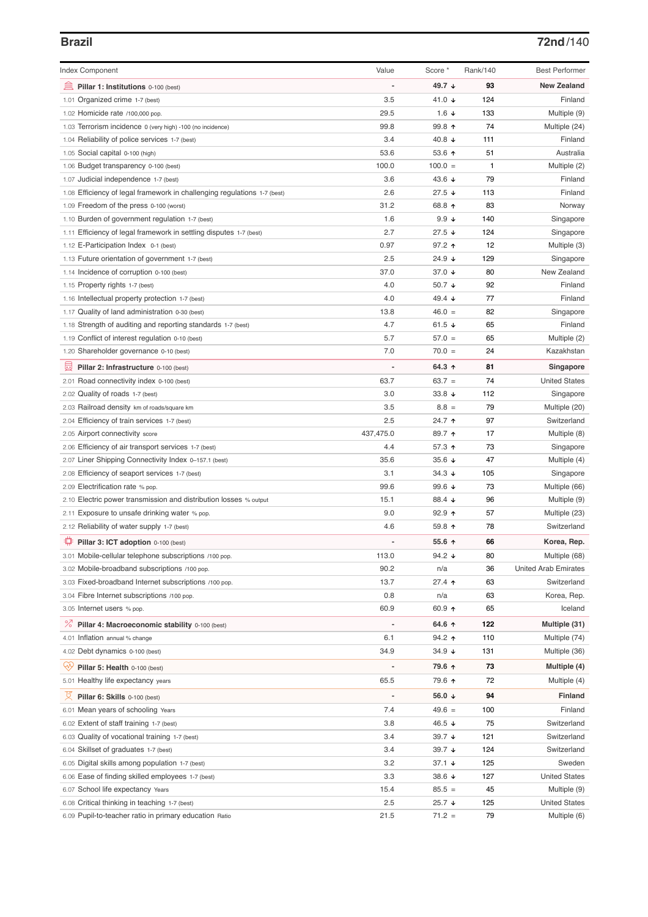# **Brazil 72nd**/140

| Index Component                                                          | Value          | Score *           | Rank/140 | <b>Best Performer</b>       |
|--------------------------------------------------------------------------|----------------|-------------------|----------|-----------------------------|
| 寙<br>Pillar 1: Institutions 0-100 (best)                                 |                | 49.7 ↓            | 93       | <b>New Zealand</b>          |
| 1.01 Organized crime 1-7 (best)                                          | 3.5            | 41.0 $\sqrt{ }$   | 124      | Finland                     |
| 1.02 Homicide rate /100,000 pop.                                         | 29.5           | 1.6 $\sqrt{ }$    | 133      | Multiple (9)                |
| 1.03 Terrorism incidence 0 (very high) -100 (no incidence)               | 99.8           | 99.8 个            | 74       | Multiple (24)               |
| 1.04 Reliability of police services 1-7 (best)                           | 3.4            | 40.8 $\downarrow$ | 111      | Finland                     |
| 1.05 Social capital 0-100 (high)                                         | 53.6           | 53.6 个            | 51       | Australia                   |
| 1.06 Budget transparency 0-100 (best)                                    | 100.0          | $100.0 =$         | 1        | Multiple (2)                |
| 1.07 Judicial independence 1-7 (best)                                    | 3.6            | 43.6 ↓            | 79       | Finland                     |
| 1.08 Efficiency of legal framework in challenging regulations 1-7 (best) | 2.6            | $27.5 +$          | 113      | Finland                     |
| 1.09 Freedom of the press 0-100 (worst)                                  | 31.2           | 68.8 ↑            | 83       | Norway                      |
| 1.10 Burden of government regulation 1-7 (best)                          | 1.6            | $9.9 +$           | 140      | Singapore                   |
| 1.11 Efficiency of legal framework in settling disputes 1-7 (best)       | 2.7            | $27.5 +$          | 124      | Singapore                   |
| 1.12 E-Participation Index 0-1 (best)                                    | 0.97           | 97.2 ↑            | 12       | Multiple (3)                |
| 1.13 Future orientation of government 1-7 (best)                         | 2.5            | 24.9 ↓            | 129      | Singapore                   |
| 1.14 Incidence of corruption 0-100 (best)                                | 37.0           | 37.0 $\sqrt{ }$   | 80       | New Zealand                 |
| 1.15 Property rights 1-7 (best)                                          | 4.0            | 50.7 $\sqrt{ }$   | 92       | Finland                     |
| 1.16 Intellectual property protection 1-7 (best)                         | 4.0            | 49.4 $\sqrt{ }$   | 77       | Finland                     |
| 1.17 Quality of land administration 0-30 (best)                          | 13.8           | $46.0 =$          | 82       | Singapore                   |
| 1.18 Strength of auditing and reporting standards 1-7 (best)             | 4.7            | 61.5 $\sqrt{ }$   | 65       | Finland                     |
| 1.19 Conflict of interest regulation 0-10 (best)                         | 5.7            | $57.0 =$          | 65       | Multiple (2)                |
| 1.20 Shareholder governance 0-10 (best)                                  | 7.0            | $70.0 =$          | 24       | Kazakhstan                  |
| 圓<br>Pillar 2: Infrastructure 0-100 (best)                               |                | 64.3 ↑            | 81       | Singapore                   |
| 2.01 Road connectivity index 0-100 (best)                                | 63.7           | $63.7 =$          | 74       | <b>United States</b>        |
| 2.02 Quality of roads 1-7 (best)                                         | 3.0            | 33.8 $\sqrt{ }$   | 112      | Singapore                   |
| 2.03 Railroad density km of roads/square km                              | 3.5            | $8.8 =$           | 79       | Multiple (20)               |
| 2.04 Efficiency of train services 1-7 (best)                             | 2.5            | 24.7 ↑            | 97       | Switzerland                 |
| 2.05 Airport connectivity score                                          | 437,475.0      | 89.7 ↑            | 17       | Multiple (8)                |
| 2.06 Efficiency of air transport services 1-7 (best)                     | 4.4            | 57.3 ↑            | 73       | Singapore                   |
| 2.07 Liner Shipping Connectivity Index 0-157.1 (best)                    | 35.6           | 35.6 $\sqrt{ }$   | 47       | Multiple (4)                |
| 2.08 Efficiency of seaport services 1-7 (best)                           | 3.1            | $34.3 +$          | 105      | Singapore                   |
| 2.09 Electrification rate % pop.                                         | 99.6           | 99.6 $\sqrt{ }$   | 73       | Multiple (66)               |
| 2.10 Electric power transmission and distribution losses % output        | 15.1           | 88.4 ↓            | 96       | Multiple (9)                |
| 2.11 Exposure to unsafe drinking water % pop.                            | 9.0            | $92.9$ ↑          | 57       | Multiple (23)               |
| 2.12 Reliability of water supply 1-7 (best)                              | 4.6            | 59.8 $\uparrow$   | 78       | Switzerland                 |
|                                                                          |                |                   |          |                             |
| ₽<br>Pillar 3: ICT adoption 0-100 (best)                                 |                | 55.6 ↑            | 66       | Korea, Rep.                 |
| 3.01 Mobile-cellular telephone subscriptions /100 pop.                   | 113.0          | 94.2 $\sqrt{ }$   | 80       | Multiple (68)               |
| 3.02 Mobile-broadband subscriptions /100 pop.                            | 90.2           | n/a               | 36       | <b>United Arab Emirates</b> |
| 3.03 Fixed-broadband Internet subscriptions /100 pop.                    | 13.7           | $27.4$ ↑          | 63       | Switzerland                 |
| 3.04 Fibre Internet subscriptions /100 pop.                              | 0.8            | n/a               | 63       | Korea, Rep.                 |
| 3.05 Internet users % pop.                                               | 60.9           | 60.9 ↑            | 65       | Iceland                     |
| ℅<br>Pillar 4: Macroeconomic stability 0-100 (best)                      | $\overline{a}$ | 64.6 ↑            | 122      | Multiple (31)               |
| 4.01 Inflation annual % change                                           | 6.1            | 94.2 ↑            | 110      | Multiple (74)               |
| 4.02 Debt dynamics 0-100 (best)                                          | 34.9           | $34.9 +$          | 131      | Multiple (36)               |
| Ųу.<br>Pillar 5: Health 0-100 (best)                                     |                | 79.6 ↑            | 73       | Multiple (4)                |
| 5.01 Healthy life expectancy years                                       | 65.5           | 79.6 ↑            | 72       | Multiple (4)                |
| 섯<br>Pillar 6: Skills 0-100 (best)                                       |                | 56.0 $\sqrt{ }$   | 94       | <b>Finland</b>              |
| 6.01 Mean years of schooling Years                                       | 7.4            | $49.6 =$          | 100      | Finland                     |
| 6.02 Extent of staff training 1-7 (best)                                 | 3.8            | 46.5 ↓            | 75       | Switzerland                 |
| 6.03 Quality of vocational training 1-7 (best)                           | 3.4            | 39.7 $\sqrt{ }$   | 121      | Switzerland                 |
| 6.04 Skillset of graduates 1-7 (best)                                    | 3.4            | 39.7 ↓            | 124      | Switzerland                 |
| 6.05 Digital skills among population 1-7 (best)                          | 3.2            | 37.1 $\sqrt{ }$   | 125      | Sweden                      |
| 6.06 Ease of finding skilled employees 1-7 (best)                        | 3.3            | 38.6 $\sqrt{ }$   | 127      | <b>United States</b>        |
| 6.07 School life expectancy Years                                        | 15.4           | $85.5 =$          | 45       | Multiple (9)                |
| 6.08 Critical thinking in teaching 1-7 (best)                            | 2.5            | $25.7 +$          | 125      | <b>United States</b>        |
| 6.09 Pupil-to-teacher ratio in primary education Ratio                   | 21.5           | $71.2 =$          | 79       | Multiple (6)                |